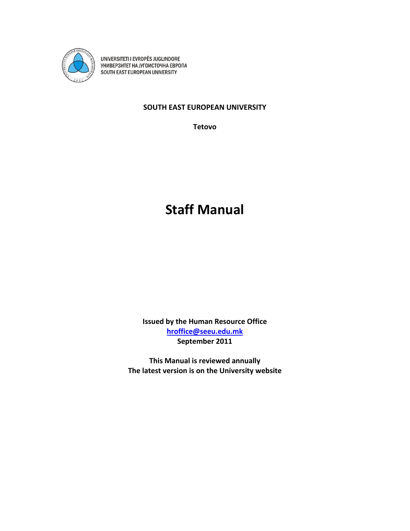

UNIVERSITETI I EVROPËS JUGLINDORE<br>YHИBEP3ИТЕТ НА ЈУГОИСТОЧНА ЕВРОПА<br>SOUTH EAST EUROPEAN UNIVERSITY

# **SOUTH EAST EUROPEAN UNIVERSITY**

**Tetovo**

# **Staff Manual**

**Issued by the Human Resource Office [hroffice@seeu.edu.mk](mailto:hroffice@seeu.edu.mk) September 2011**

**This Manual is reviewed annually The latest version is on the University website**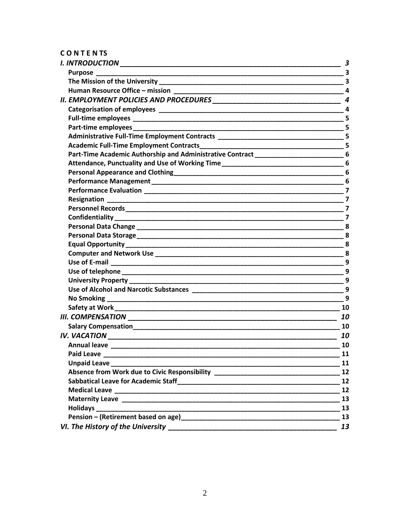# CONTENTS

|                                                                                                                                                           | 3                            |
|-----------------------------------------------------------------------------------------------------------------------------------------------------------|------------------------------|
|                                                                                                                                                           |                              |
|                                                                                                                                                           | $\overline{\mathbf{3}}$      |
| Human Resource Office - mission                                                                                                                           | $\overline{\mathbf{4}}$      |
|                                                                                                                                                           |                              |
|                                                                                                                                                           | $\mathbf{A}$                 |
|                                                                                                                                                           |                              |
|                                                                                                                                                           |                              |
|                                                                                                                                                           |                              |
|                                                                                                                                                           |                              |
| Part-Time Academic Authorship and Administrative Contract _______________________6                                                                        |                              |
|                                                                                                                                                           |                              |
|                                                                                                                                                           |                              |
|                                                                                                                                                           | 6                            |
|                                                                                                                                                           | 7                            |
|                                                                                                                                                           |                              |
|                                                                                                                                                           |                              |
|                                                                                                                                                           |                              |
|                                                                                                                                                           |                              |
|                                                                                                                                                           |                              |
|                                                                                                                                                           |                              |
|                                                                                                                                                           |                              |
|                                                                                                                                                           | 9                            |
|                                                                                                                                                           |                              |
|                                                                                                                                                           |                              |
|                                                                                                                                                           |                              |
|                                                                                                                                                           | $\overline{9}$               |
|                                                                                                                                                           | 10                           |
|                                                                                                                                                           |                              |
|                                                                                                                                                           | 10                           |
|                                                                                                                                                           | 10<br><u>and a strong to</u> |
|                                                                                                                                                           | 10                           |
| <b>Paid Leave</b>                                                                                                                                         | 11                           |
| Unpaid Leave___________                                                                                                                                   | 11                           |
| Absence from Work due to Civic Responsibility __________________________________                                                                          | 12                           |
|                                                                                                                                                           | 12                           |
|                                                                                                                                                           | 12                           |
|                                                                                                                                                           | 13                           |
|                                                                                                                                                           | 13                           |
| Pension – (Retirement based on age) 13                                                                                                                    |                              |
| VI. The History of the University<br><u> 2000 - 2000 - 2000 - 2000 - 2000 - 2000 - 2000 - 2000 - 2000 - 2000 - 2000 - 2000 - 2000 - 2000 - 2000 - 200</u> | 13                           |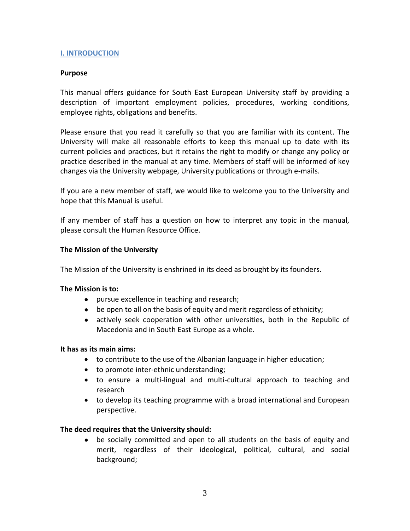## <span id="page-2-0"></span>**I. INTRODUCTION**

#### <span id="page-2-1"></span>**Purpose**

This manual offers guidance for South East European University staff by providing a description of important employment policies, procedures, working conditions, employee rights, obligations and benefits.

Please ensure that you read it carefully so that you are familiar with its content. The University will make all reasonable efforts to keep this manual up to date with its current policies and practices, but it retains the right to modify or change any policy or practice described in the manual at any time. Members of staff will be informed of key changes via the University webpage, University publications or through e-mails.

If you are a new member of staff, we would like to welcome you to the University and hope that this Manual is useful.

If any member of staff has a question on how to interpret any topic in the manual, please consult the Human Resource Office.

#### <span id="page-2-2"></span>**The Mission of the University**

The Mission of the University is enshrined in its deed as brought by its founders.

#### **The Mission is to:**

- **•** pursue excellence in teaching and research;
- be open to all on the basis of equity and merit regardless of ethnicity;
- actively seek cooperation with other universities, both in the Republic of Macedonia and in South East Europe as a whole.

#### **It has as its main aims:**

- to contribute to the use of the Albanian language in higher education;
- to promote inter-ethnic understanding;
- to ensure a multi-lingual and multi-cultural approach to teaching and research
- to develop its teaching programme with a broad international and European perspective.

## **The deed requires that the University should:**

 be socially committed and open to all students on the basis of equity and merit, regardless of their ideological, political, cultural, and social background;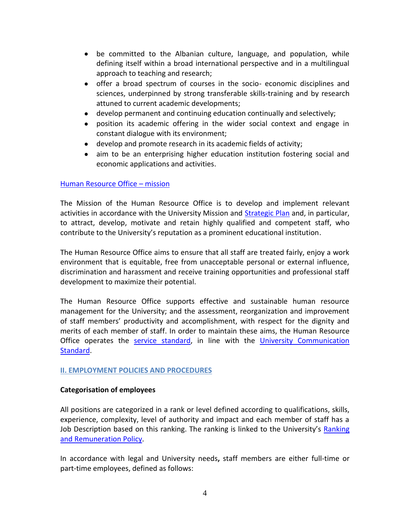- be committed to the Albanian culture, language, and population, while defining itself within a broad international perspective and in a multilingual approach to teaching and research;
- offer a broad spectrum of courses in the socio- economic disciplines and sciences, underpinned by strong transferable skills-training and by research attuned to current academic developments;
- develop permanent and continuing education continually and selectively;
- position its academic offering in the wider social context and engage in constant dialogue with its environment;
- develop and promote research in its academic fields of activity;
- aim to be an enterprising higher education institution fostering social and economic applications and activities.

# <span id="page-3-0"></span>[Human Resource Office](http://www.seeu.edu.mk/en/about/organization-management/administrative-offices/hroffice) – mission

The Mission of the Human Resource Office is to develop and implement relevant activities in accordance with the University Mission and [Strategic Plan](http://www.seeu.edu.mk/files/StrategicPlan2013-2016.pdf) and, in particular, to attract, develop, motivate and retain highly qualified and competent staff, who contribute to the University's reputation as a prominent educational institution.

The Human Resource Office aims to ensure that all staff are treated fairly, enjoy a work environment that is equitable, free from unacceptable personal or external influence, discrimination and harassment and receive training opportunities and professional staff development to maximize their potential.

The Human Resource Office supports effective and sustainable human resource management for the University; and the assessment, reorganization and improvement of staff members' productivity and accomplishment, with respect for the dignity and merits of each member of staff. In order to maintain these aims, the Human Resource Office operates the [service standard,](http://www.seeu.edu.mk/files/docs/standardet/en/11%20Human%20Resources%20Standard.docx) in line with the [University Communication](http://www.seeu.edu.mk/files/docs/standardet/en/1%20University%20Communication%20Standard.docx)  [Standard.](http://www.seeu.edu.mk/files/docs/standardet/en/1%20University%20Communication%20Standard.docx)

# <span id="page-3-1"></span>**II. EMPLOYMENT POLICIES AND PROCEDURES**

## <span id="page-3-2"></span>**Categorisation of employees**

All positions are categorized in a rank or level defined according to qualifications, skills, experience, complexity, level of authority and impact and each member of staff has a Job Description based on this ranking. The ranking is linked to the University's Ranking [and Remuneration Policy.](https://my.seeu.edu.mk/private/Ranking?language=EN)

In accordance with legal and University needs**,** staff members are either full-time or part-time employees, defined as follows: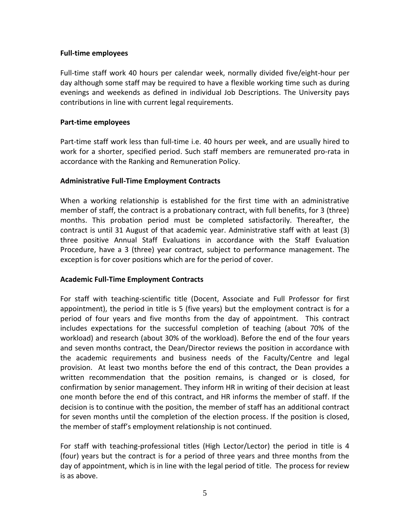# <span id="page-4-0"></span>**Full-time employees**

Full-time staff work 40 hours per calendar week, normally divided five/eight-hour per day although some staff may be required to have a flexible working time such as during evenings and weekends as defined in individual Job Descriptions. The University pays contributions in line with current legal requirements.

# <span id="page-4-1"></span>**Part-time employees**

Part-time staff work less than full-time i.e. 40 hours per week, and are usually hired to work for a shorter, specified period. Such staff members are remunerated pro-rata in accordance with the Ranking and Remuneration Policy.

# <span id="page-4-2"></span>**Administrative Full-Time Employment Contracts**

When a working relationship is established for the first time with an administrative member of staff, the contract is a probationary contract, with full benefits, for 3 (three) months. This probation period must be completed satisfactorily. Thereafter, the contract is until 31 August of that academic year. Administrative staff with at least (3) three positive Annual Staff Evaluations in accordance with the Staff Evaluation Procedure, have a 3 (three) year contract, subject to performance management. The exception is for cover positions which are for the period of cover.

# <span id="page-4-3"></span>**Academic Full-Time Employment Contracts**

For staff with teaching-scientific title (Docent, Associate and Full Professor for first appointment), the period in title is 5 (five years) but the employment contract is for a period of four years and five months from the day of appointment. This contract includes expectations for the successful completion of teaching (about 70% of the workload) and research (about 30% of the workload). Before the end of the four years and seven months contract, the Dean/Director reviews the position in accordance with the academic requirements and business needs of the Faculty/Centre and legal provision. At least two months before the end of this contract, the Dean provides a written recommendation that the position remains, is changed or is closed, for confirmation by senior management. They inform HR in writing of their decision at least one month before the end of this contract, and HR informs the member of staff. If the decision is to continue with the position, the member of staff has an additional contract for seven months until the completion of the election process. If the position is closed, the member of staff's employment relationship is not continued.

For staff with teaching-professional titles (High Lector/Lector) the period in title is 4 (four) years but the contract is for a period of three years and three months from the day of appointment, which is in line with the legal period of title. The process for review is as above.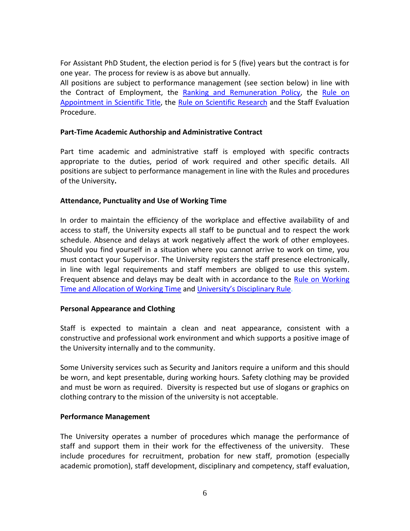For Assistant PhD Student, the election period is for 5 (five) years but the contract is for one year. The process for review is as above but annually.

All positions are subject to performance management (see section below) in line with the Contract of Employment, the [Ranking and Remuneration Policy,](https://my.seeu.edu.mk/private/Ranking?language=EN) the [Rule on](http://www.seeu.edu.mk/files/Rule_on_promotion_to_teaching_scientific_title.pdf)  [Appointment in Scientific Title,](http://www.seeu.edu.mk/files/Rule_on_promotion_to_teaching_scientific_title.pdf) the [Rule on Scientific Research](http://www.seeu.edu.mk/files/docs/regulloret/Rule-on-Scientific-ResearchMM.pdf) and the Staff Evaluation Procedure.

## <span id="page-5-0"></span>**Part-Time Academic Authorship and Administrative Contract**

Part time academic and administrative staff is employed with specific contracts appropriate to the duties, period of work required and other specific details. All positions are subject to performance management in line with the Rules and procedures of the University**.**

#### <span id="page-5-1"></span>**Attendance, Punctuality and Use of Working Time**

In order to maintain the efficiency of the workplace and effective availability of and access to staff, the University expects all staff to be punctual and to respect the work schedule. Absence and delays at work negatively affect the work of other employees. Should you find yourself in a situation where you cannot arrive to work on time, you must contact your Supervisor. The University registers the staff presence electronically, in line with legal requirements and staff members are obliged to use this system. Frequent absence and delays may be dealt with in accordance to the Rule on Working [Time and Allocation of Working Time](http://www.seeu.edu.mk/files/docs/regulloret/2014/anglishtPDF/Rule%20on%20Working%20Time.pdf) and [University's Disciplinary Rule](http://www.seeu.edu.mk/files/docs/regulloret/2014/anglishtPDF/Disciplinary-rule.pdf).

#### <span id="page-5-2"></span>**Personal Appearance and Clothing**

Staff is expected to maintain a clean and neat appearance, consistent with a constructive and professional work environment and which supports a positive image of the University internally and to the community.

Some University services such as Security and Janitors require a uniform and this should be worn, and kept presentable, during working hours. Safety clothing may be provided and must be worn as required. Diversity is respected but use of slogans or graphics on clothing contrary to the mission of the university is not acceptable.

## <span id="page-5-3"></span>**Performance Management**

The University operates a number of procedures which manage the performance of staff and support them in their work for the effectiveness of the university. These include procedures for recruitment, probation for new staff, promotion (especially academic promotion), staff development, disciplinary and competency, staff evaluation,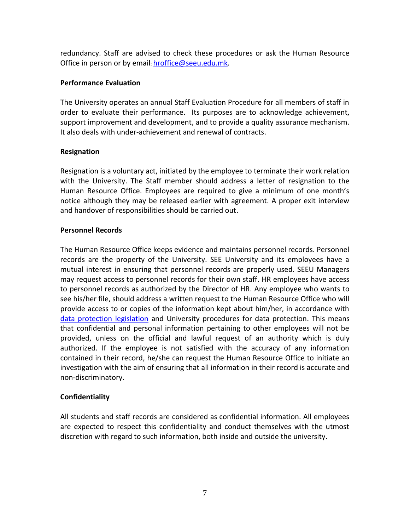redundancy. Staff are advised to check these procedures or ask the Human Resource Office in person or by email: [hroffice@seeu.edu.mk.](mailto:hroffice@seeu.edu.mk)

# <span id="page-6-0"></span>**Performance Evaluation**

The University operates an annual Staff Evaluation Procedure for all members of staff in order to evaluate their performance. Its purposes are to acknowledge achievement, support improvement and development, and to provide a quality assurance mechanism. It also deals with under-achievement and renewal of contracts.

# <span id="page-6-1"></span>**Resignation**

Resignation is a voluntary act, initiated by the employee to terminate their work relation with the University. The Staff member should address a letter of resignation to the Human Resource Office. Employees are required to give a minimum of one month's notice although they may be released earlier with agreement. A proper exit interview and handover of responsibilities should be carried out.

# <span id="page-6-2"></span>**Personnel Records**

The Human Resource Office keeps evidence and maintains personnel records. Personnel records are the property of the University. SEE University and its employees have a mutual interest in ensuring that personnel records are properly used. SEEU Managers may request access to personnel records for their own staff. HR employees have access to personnel records as authorized by the Director of HR. Any employee who wants to see his/her file, should address a written request to the Human Resource Office who will provide access to or copies of the information kept about him/her, in accordance with [data protection legislation](http://www.seeu.edu.mk/files/docs/Pravilnik-za-tehnickite-i-organizaciskite-merki.pdf) and University procedures for data protection. This means that confidential and personal information pertaining to other employees will not be provided, unless on the official and lawful request of an authority which is duly authorized. If the employee is not satisfied with the accuracy of any information contained in their record, he/she can request the Human Resource Office to initiate an investigation with the aim of ensuring that all information in their record is accurate and non-discriminatory.

# <span id="page-6-3"></span>**Confidentiality**

All students and staff records are considered as confidential information. All employees are expected to respect this confidentiality and conduct themselves with the utmost discretion with regard to such information, both inside and outside the university.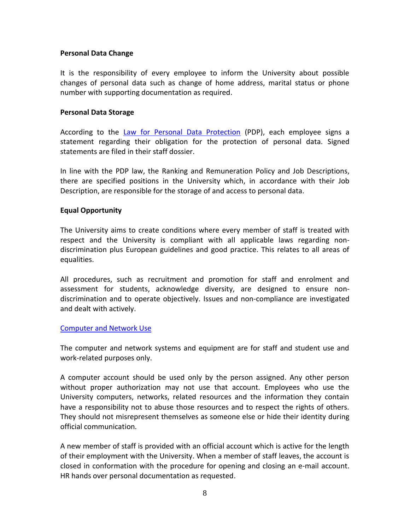## <span id="page-7-0"></span>**Personal Data Change**

It is the responsibility of every employee to inform the University about possible changes of personal data such as change of home address, marital status or phone number with supporting documentation as required.

#### <span id="page-7-1"></span>**Personal Data Storage**

According to the [Law for Personal Data Protection](http://www.seeu.edu.mk/files/docs/Pravilnik-za-tehnickite-i-organizaciskite-merki.pdf) (PDP), each employee signs a statement regarding their obligation for the protection of personal data. Signed statements are filed in their staff dossier.

In line with the PDP law, the Ranking and Remuneration Policy and Job Descriptions, there are specified positions in the University which, in accordance with their Job Description, are responsible for the storage of and access to personal data.

#### <span id="page-7-2"></span>**Equal Opportunity**

The University aims to create conditions where every member of staff is treated with respect and the University is compliant with all applicable laws regarding nondiscrimination plus European guidelines and good practice. This relates to all areas of equalities.

All procedures, such as recruitment and promotion for staff and enrolment and assessment for students, acknowledge diversity, are designed to ensure nondiscrimination and to operate objectively. Issues and non-compliance are investigated and dealt with actively.

#### <span id="page-7-3"></span>[Computer and Network Use](http://www.seeu.edu.mk/files/docs/regulloret/2014/anglishtPDF/Rule%20on%20Usage%20of%20Computer%20Network.pdf)

The computer and network systems and equipment are for staff and student use and work-related purposes only.

A computer account should be used only by the person assigned. Any other person without proper authorization may not use that account. Employees who use the University computers, networks, related resources and the information they contain have a responsibility not to abuse those resources and to respect the rights of others. They should not misrepresent themselves as someone else or hide their identity during official communication*.* 

A new member of staff is provided with an official account which is active for the length of their employment with the University. When a member of staff leaves, the account is closed in conformation with the procedure for opening and closing an e-mail account. HR hands over personal documentation as requested.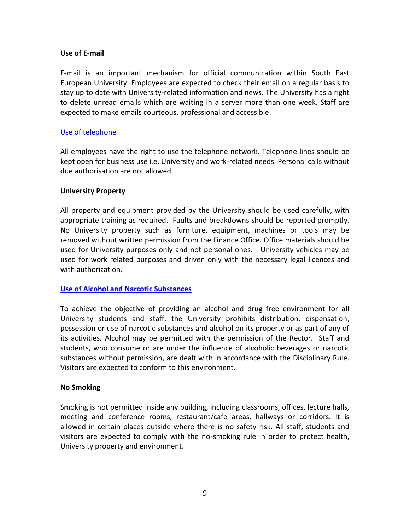## <span id="page-8-0"></span>**Use of E-mail**

E-mail is an important mechanism for official communication within South East European University. Employees are expected to check their email on a regular basis to stay up to date with University-related information and news. The University has a right to delete unread emails which are waiting in a server more than one week. Staff are expected to make emails courteous, professional and accessible.

## <span id="page-8-1"></span>[Use of telephone](http://www.seeu.edu.mk/files/docs/regulloret/2014/anglishtPDF/Rule%20on%20Usage%20of%20Telephone%20Network.pdf)

All employees have the right to use the telephone network. Telephone lines should be kept open for business use i.e. University and work-related needs. Personal calls without due authorisation are not allowed.

#### <span id="page-8-2"></span>**University Property**

All property and equipment provided by the University should be used carefully, with appropriate training as required. Faults and breakdowns should be reported promptly. No University property such as furniture, equipment, machines or tools may be removed without written permission from the Finance Office. Office materials should be used for University purposes only and not personal ones. University vehicles may be used for work related purposes and driven only with the necessary legal licences and with authorization.

## <span id="page-8-3"></span>**[Use of Alcohol and Narcotic Substances](http://www.seeu.edu.mk/files/docs/regulloret/2014/anglishtPDF/SEE%20University%20Non%20Smoking%20Zone.pdf)**

To achieve the objective of providing an alcohol and drug free environment for all University students and staff, the University prohibits distribution, dispensation, possession or use of narcotic substances and alcohol on its property or as part of any of its activities. Alcohol may be permitted with the permission of the Rector. Staff and students, who consume or are under the influence of alcoholic beverages or narcotic substances without permission, are dealt with in accordance with the Disciplinary Rule. Visitors are expected to conform to this environment.

## <span id="page-8-4"></span>**No Smoking**

Smoking is not permitted inside any building, including classrooms, offices, lecture halls, meeting and conference rooms, restaurant/cafe areas, hallways or corridors. It is allowed in certain places outside where there is no safety risk. All staff, students and visitors are expected to comply with the no-smoking rule in order to protect health, University property and environment.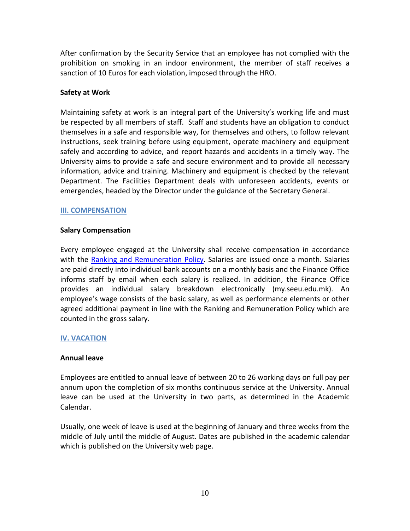After confirmation by the Security Service that an employee has not complied with the prohibition on smoking in an indoor environment, the member of staff receives a sanction of 10 Euros for each violation, imposed through the HRO.

# <span id="page-9-0"></span>**Safety at Work**

Maintaining safety at work is an integral part of the University's working life and must be respected by all members of staff. Staff and students have an obligation to conduct themselves in a safe and responsible way, for themselves and others, to follow relevant instructions, seek training before using equipment, operate machinery and equipment safely and according to advice, and report hazards and accidents in a timely way. The University aims to provide a safe and secure environment and to provide all necessary information, advice and training. Machinery and equipment is checked by the relevant Department. The Facilities Department deals with unforeseen accidents, events or emergencies, headed by the Director under the guidance of the Secretary General.

## <span id="page-9-1"></span>**III. COMPENSATION**

## <span id="page-9-2"></span>**Salary Compensation**

Every employee engaged at the University shall receive compensation in accordance with the [Ranking and Remuneration Policy.](https://my.seeu.edu.mk/private/Ranking?language=EN) Salaries are issued once a month. Salaries are paid directly into individual bank accounts on a monthly basis and the Finance Office informs staff by email when each salary is realized. In addition, the Finance Office provides an individual salary breakdown electronically (my.seeu.edu.mk). An employee's wage consists of the basic salary, as well as performance elements or other agreed additional payment in line with the Ranking and Remuneration Policy which are counted in the gross salary.

## <span id="page-9-3"></span>**IV. VACATION**

## <span id="page-9-4"></span>**Annual leave**

Employees are entitled to annual leave of between 20 to 26 working days on full pay per annum upon the completion of six months continuous service at the University. Annual leave can be used at the University in two parts, as determined in the Academic Calendar.

Usually, one week of leave is used at the beginning of January and three weeks from the middle of July until the middle of August. Dates are published in the academic calendar which is published on the University web page.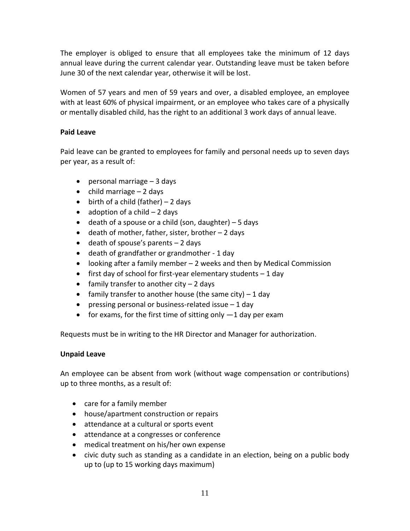The employer is obliged to ensure that all employees take the minimum of 12 days annual leave during the current calendar year. Outstanding leave must be taken before June 30 of the next calendar year, otherwise it will be lost.

Women of 57 years and men of 59 years and over, a disabled employee, an employee with at least 60% of physical impairment, or an employee who takes care of a physically or mentally disabled child, has the right to an additional 3 work days of annual leave.

# <span id="page-10-0"></span>**Paid Leave**

Paid leave can be granted to employees for family and personal needs up to seven days per year, as a result of:

- $\bullet$  personal marriage  $-3$  days
- $\bullet$  child marriage  $-2$  days
- $\bullet$  birth of a child (father) 2 days
- $\bullet$  adoption of a child  $-2$  days
- $\bullet$  death of a spouse or a child (son, daughter) 5 days
- $\bullet$  death of mother, father, sister, brother  $-2$  days
- $\bullet$  death of spouse's parents  $-2$  days
- death of grandfather or grandmother 1 day
- looking after a family member 2 weeks and then by Medical Commission
- $\bullet$  first day of school for first-year elementary students  $-1$  day
- $\bullet$  family transfer to another city  $-2$  days
- family transfer to another house (the same city)  $-1$  day
- pressing personal or business-related issue  $-1$  day
- for exams, for the first time of sitting only  $-1$  day per exam

Requests must be in writing to the HR Director and Manager for authorization.

# <span id="page-10-1"></span>**Unpaid Leave**

An employee can be absent from work (without wage compensation or contributions) up to three months, as a result of:

- care for a family member
- house/apartment construction or repairs
- attendance at a cultural or sports event
- attendance at a congresses or conference
- medical treatment on his/her own expense
- civic duty such as standing as a candidate in an election, being on a public body up to (up to 15 working days maximum)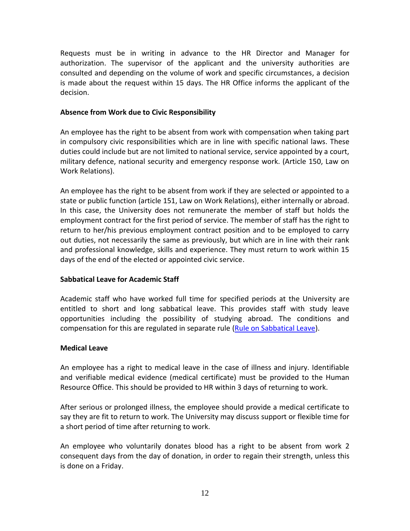Requests must be in writing in advance to the HR Director and Manager for authorization. The supervisor of the applicant and the university authorities are consulted and depending on the volume of work and specific circumstances, a decision is made about the request within 15 days. The HR Office informs the applicant of the decision.

# <span id="page-11-0"></span>**Absence from Work due to Civic Responsibility**

An employee has the right to be absent from work with compensation when taking part in compulsory civic responsibilities which are in line with specific national laws. These duties could include but are not limited to national service, service appointed by a court, military defence, national security and emergency response work. (Article 150, Law on Work Relations).

An employee has the right to be absent from work if they are selected or appointed to a state or public function (article 151, Law on Work Relations), either internally or abroad. In this case, the University does not remunerate the member of staff but holds the employment contract for the first period of service. The member of staff has the right to return to her/his previous employment contract position and to be employed to carry out duties, not necessarily the same as previously, but which are in line with their rank and professional knowledge, skills and experience. They must return to work within 15 days of the end of the elected or appointed civic service.

## <span id="page-11-1"></span>**Sabbatical Leave for Academic Staff**

Academic staff who have worked full time for specified periods at the University are entitled to short and long sabbatical leave. This provides staff with study leave opportunities including the possibility of studying abroad. The conditions and compensation for this are regulated in separate rule [\(Rule on Sabbatical Leave\)](http://www.seeu.edu.mk/files/docs/regulloret/2014/anglishtPDF/Rule%20on%20Sabbatical%20Leave.pdf).

## <span id="page-11-2"></span>**Medical Leave**

An employee has a right to medical leave in the case of illness and injury. Identifiable and verifiable medical evidence (medical certificate) must be provided to the Human Resource Office. This should be provided to HR within 3 days of returning to work.

After serious or prolonged illness, the employee should provide a medical certificate to say they are fit to return to work. The University may discuss support or flexible time for a short period of time after returning to work.

An employee who voluntarily donates blood has a right to be absent from work 2 consequent days from the day of donation, in order to regain their strength, unless this is done on a Friday.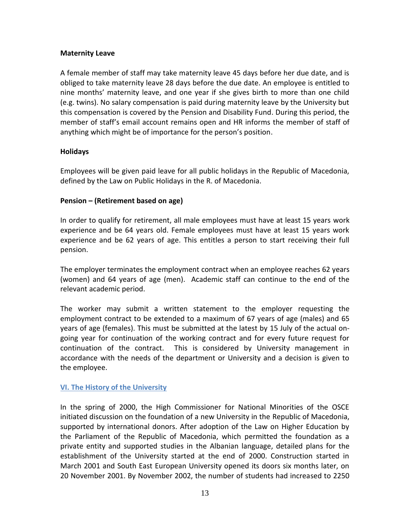# <span id="page-12-0"></span>**Maternity Leave**

A female member of staff may take maternity leave 45 days before her due date, and is obliged to take maternity leave 28 days before the due date. An employee is entitled to nine months' maternity leave, and one year if she gives birth to more than one child (e.g. twins). No salary compensation is paid during maternity leave by the University but this compensation is covered by the Pension and Disability Fund. During this period, the member of staff's email account remains open and HR informs the member of staff of anything which might be of importance for the person's position.

# <span id="page-12-1"></span>**Holidays**

Employees will be given paid leave for all public holidays in the Republic of Macedonia, defined by the Law on Public Holidays in the R. of Macedonia.

# <span id="page-12-2"></span>**Pension – (Retirement based on age)**

In order to qualify for retirement, all male employees must have at least 15 years work experience and be 64 years old. Female employees must have at least 15 years work experience and be 62 years of age. This entitles a person to start receiving their full pension.

The employer terminates the employment contract when an employee reaches 62 years (women) and 64 years of age (men). Academic staff can continue to the end of the relevant academic period.

The worker may submit a written statement to the employer requesting the employment contract to be extended to a maximum of 67 years of age (males) and 65 years of age (females). This must be submitted at the latest by 15 July of the actual ongoing year for continuation of the working contract and for every future request for continuation of the contract. This is considered by University management in accordance with the needs of the department or University and a decision is given to the employee.

## <span id="page-12-3"></span>**V[I. The History of the University](http://www.seeu.edu.mk/en/about/history)**

In the spring of 2000, the High Commissioner for National Minorities of the OSCE initiated discussion on the foundation of a new University in the Republic of Macedonia, supported by international donors. After adoption of the Law on Higher Education by the Parliament of the Republic of Macedonia, which permitted the foundation as a private entity and supported studies in the Albanian language, detailed plans for the establishment of the University started at the end of 2000. Construction started in March 2001 and South East European University opened its doors six months later, on 20 November 2001. By November 2002, the number of students had increased to 2250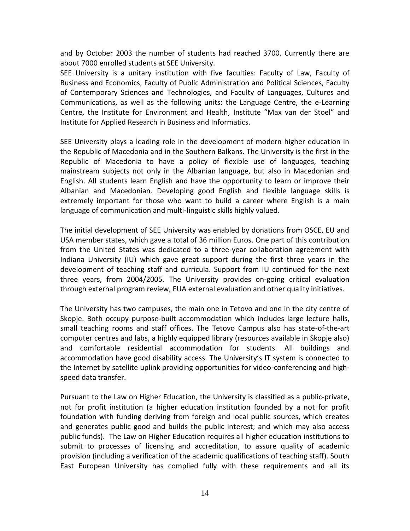and by October 2003 the number of students had reached 3700. Currently there are about 7000 enrolled students at SEE University.

SEE University is a unitary institution with five faculties: Faculty of Law, Faculty of Business and Economics, Faculty of Public Administration and Political Sciences, Faculty of Contemporary Sciences and Technologies, and Faculty of Languages, Cultures and Communications, as well as the following units: the Language Centre, the e-Learning Centre, the Institute for Environment and Health, Institute "Max van der Stoel" and Institute for Applied Research in Business and Informatics.

SEE University plays a leading role in the development of modern higher education in the Republic of Macedonia and in the Southern Balkans. The University is the first in the Republic of Macedonia to have a policy of flexible use of languages, teaching mainstream subjects not only in the Albanian language, but also in Macedonian and English. All students learn English and have the opportunity to learn or improve their Albanian and Macedonian*.* Developing good English and flexible language skills is extremely important for those who want to build a career where English is a main language of communication and multi-linguistic skills highly valued.

The initial development of SEE University was enabled by donations from OSCE, EU and USA member states, which gave a total of 36 million Euros. One part of this contribution from the United States was dedicated to a three-year collaboration agreement with Indiana University (IU) which gave great support during the first three years in the development of teaching staff and curricula. Support from IU continued for the next three years, from 2004/2005*.* The University provides on-going critical evaluation through external program review, EUA external evaluation and other quality initiatives.

The University has two campuses, the main one in Tetovo and one in the city centre of Skopje. Both occupy purpose-built accommodation which includes large lecture halls, small teaching rooms and staff offices. The Tetovo Campus also has state-of-the-art computer centres and labs, a highly equipped library (resources available in Skopje also) and comfortable residential accommodation for students. All buildings and accommodation have good disability access. The University's IT system is connected to the Internet by satellite uplink providing opportunities for video-conferencing and highspeed data transfer.

Pursuant to the Law on Higher Education, the University is classified as a public-private, not for profit institution (a higher education institution founded by a not for profit foundation with funding deriving from foreign and local public sources, which creates and generates public good and builds the public interest; and which may also access public funds). The Law on Higher Education requires all higher education institutions to submit to processes of licensing and accreditation, to assure quality of academic provision (including a verification of the academic qualifications of teaching staff). South East European University has complied fully with these requirements and all its